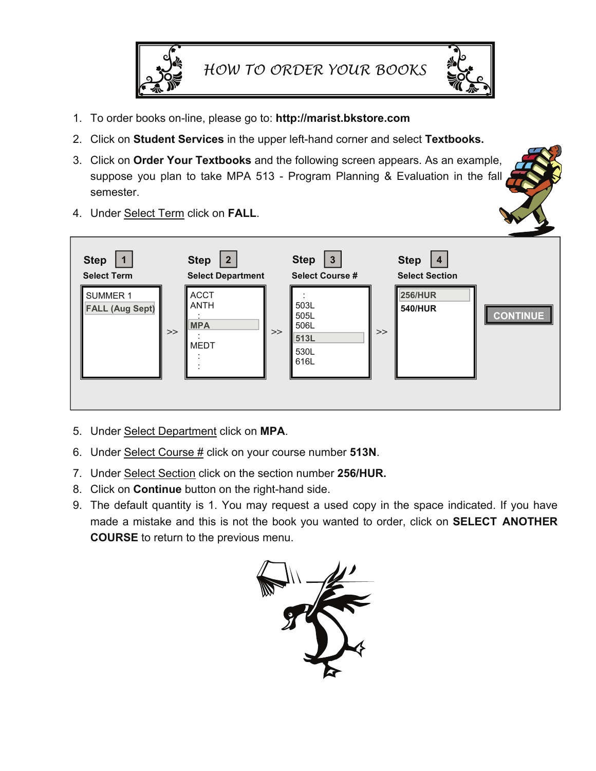

- 1. To order books on-line, please go to: **http://marist.bkstore.com**
- 2. Click on **Student Services** in the upper left-hand corner and select **Textbooks.**
- 3. Click on **Order Your Textbooks** and the following screen appears. As an example, suppose you plan to take MPA 513 - Program Planning & Evaluation in the fall semester.



5. Under Select Department click on **MPA**.

4. Under Select Term click on **FALL**.

- 6. Under Select Course # click on your course number **513N**.
- 7. Under Select Section click on the section number **256/HUR.**
- 8. Click on **Continue** button on the right-hand side.
- 9. The default quantity is 1. You may request a used copy in the space indicated. If you have made a mistake and this is not the book you wanted to order, click on **SELECT ANOTHER COURSE** to return to the previous menu.